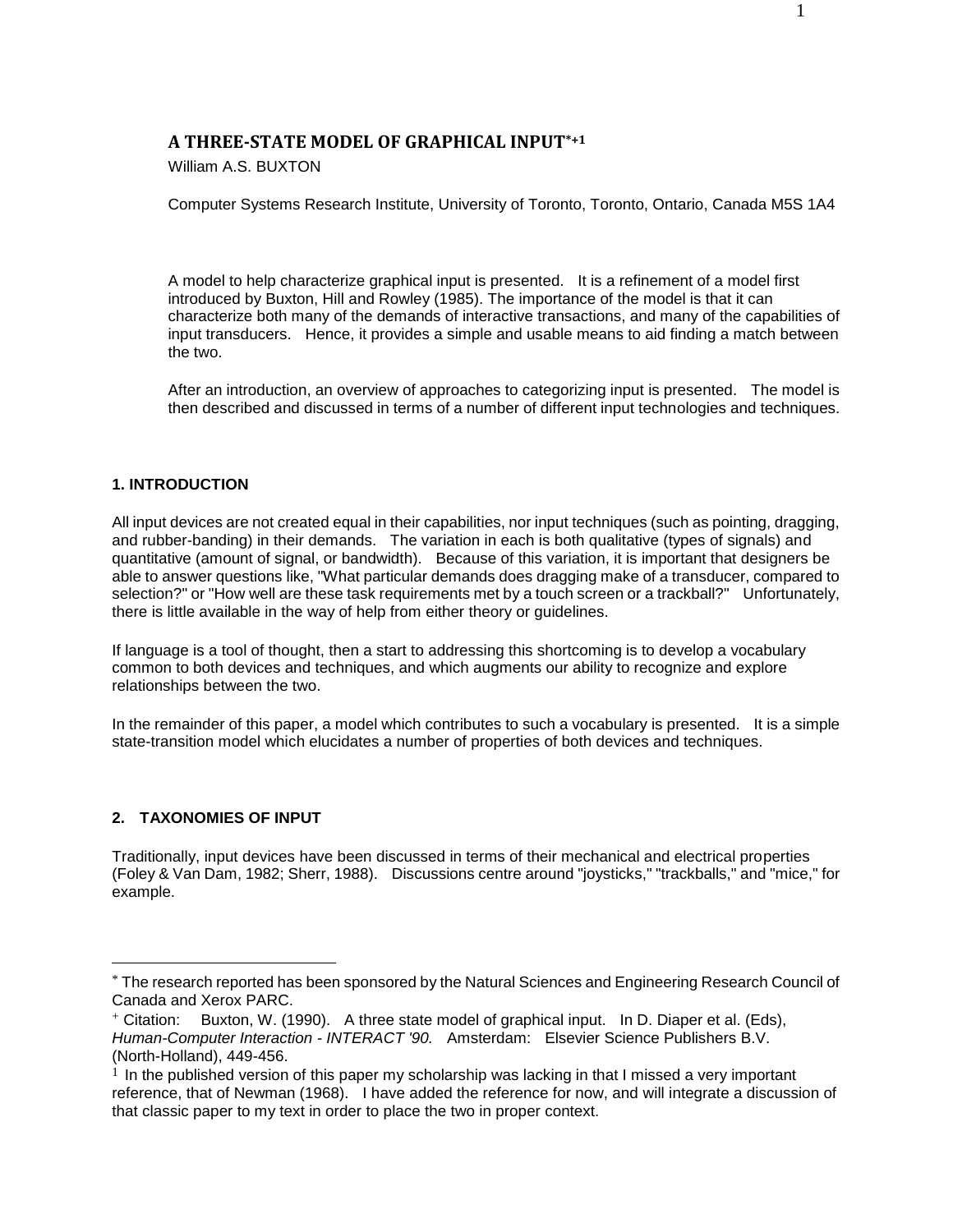# **A THREE-STATE MODEL OF GRAPHICAL INPUT\*+1**

William A.S. BUXTON

Computer Systems Research Institute, University of Toronto, Toronto, Ontario, Canada M5S 1A4

A model to help characterize graphical input is presented. It is a refinement of a model first introduced by Buxton, Hill and Rowley (1985). The importance of the model is that it can characterize both many of the demands of interactive transactions, and many of the capabilities of input transducers. Hence, it provides a simple and usable means to aid finding a match between the two.

After an introduction, an overview of approaches to categorizing input is presented. The model is then described and discussed in terms of a number of different input technologies and techniques.

### **1. INTRODUCTION**

All input devices are not created equal in their capabilities, nor input techniques (such as pointing, dragging, and rubber-banding) in their demands. The variation in each is both qualitative (types of signals) and quantitative (amount of signal, or bandwidth). Because of this variation, it is important that designers be able to answer questions like, "What particular demands does dragging make of a transducer, compared to selection?" or "How well are these task requirements met by a touch screen or a trackball?" Unfortunately, there is little available in the way of help from either theory or guidelines.

If language is a tool of thought, then a start to addressing this shortcoming is to develop a vocabulary common to both devices and techniques, and which augments our ability to recognize and explore relationships between the two.

In the remainder of this paper, a model which contributes to such a vocabulary is presented. It is a simple state-transition model which elucidates a number of properties of both devices and techniques.

# **2. TAXONOMIES OF INPUT**

 $\overline{a}$ 

Traditionally, input devices have been discussed in terms of their mechanical and electrical properties (Foley & Van Dam, 1982; Sherr, 1988). Discussions centre around "joysticks," "trackballs," and "mice," for example.

<sup>\*</sup> The research reported has been sponsored by the Natural Sciences and Engineering Research Council of Canada and Xerox PARC.

<sup>+</sup> Citation: Buxton, W. (1990). A three state model of graphical input. In D. Diaper et al. (Eds), *Human-Computer Interaction - INTERACT '90.* Amsterdam: Elsevier Science Publishers B.V. (North-Holland), 449-456.

 $1$  In the published version of this paper my scholarship was lacking in that I missed a very important reference, that of Newman (1968). I have added the reference for now, and will integrate a discussion of that classic paper to my text in order to place the two in proper context.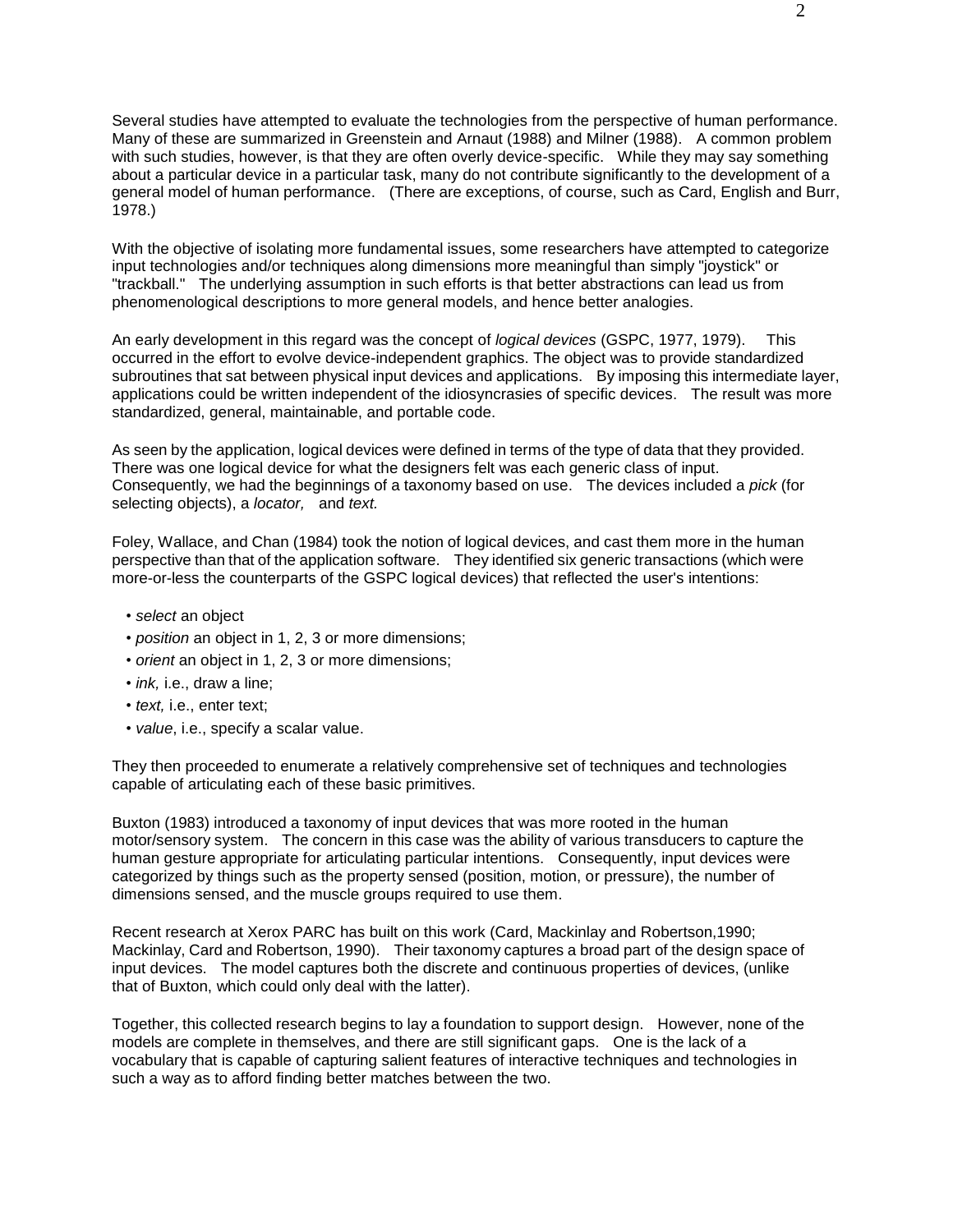Several studies have attempted to evaluate the technologies from the perspective of human performance. Many of these are summarized in Greenstein and Arnaut (1988) and Milner (1988). A common problem with such studies, however, is that they are often overly device-specific. While they may say something about a particular device in a particular task, many do not contribute significantly to the development of a general model of human performance. (There are exceptions, of course, such as Card, English and Burr, 1978.)

With the objective of isolating more fundamental issues, some researchers have attempted to categorize input technologies and/or techniques along dimensions more meaningful than simply "joystick" or "trackball." The underlying assumption in such efforts is that better abstractions can lead us from phenomenological descriptions to more general models, and hence better analogies.

An early development in this regard was the concept of *logical devices* (GSPC, 1977, 1979). This occurred in the effort to evolve device-independent graphics. The object was to provide standardized subroutines that sat between physical input devices and applications. By imposing this intermediate layer, applications could be written independent of the idiosyncrasies of specific devices. The result was more standardized, general, maintainable, and portable code.

As seen by the application, logical devices were defined in terms of the type of data that they provided. There was one logical device for what the designers felt was each generic class of input. Consequently, we had the beginnings of a taxonomy based on use. The devices included a *pick* (for selecting objects), a *locator,* and *text.*

Foley, Wallace, and Chan (1984) took the notion of logical devices, and cast them more in the human perspective than that of the application software. They identified six generic transactions (which were more-or-less the counterparts of the GSPC logical devices) that reflected the user's intentions:

- *select* an object
- *position* an object in 1, 2, 3 or more dimensions;
- *orient* an object in 1, 2, 3 or more dimensions;
- *ink,* i.e., draw a line;
- *text,* i.e., enter text;
- *value*, i.e., specify a scalar value.

They then proceeded to enumerate a relatively comprehensive set of techniques and technologies capable of articulating each of these basic primitives.

Buxton (1983) introduced a taxonomy of input devices that was more rooted in the human motor/sensory system. The concern in this case was the ability of various transducers to capture the human gesture appropriate for articulating particular intentions. Consequently, input devices were categorized by things such as the property sensed (position, motion, or pressure), the number of dimensions sensed, and the muscle groups required to use them.

Recent research at Xerox PARC has built on this work (Card, Mackinlay and Robertson,1990; Mackinlay, Card and Robertson, 1990). Their taxonomy captures a broad part of the design space of input devices. The model captures both the discrete and continuous properties of devices, (unlike that of Buxton, which could only deal with the latter).

Together, this collected research begins to lay a foundation to support design. However, none of the models are complete in themselves, and there are still significant gaps. One is the lack of a vocabulary that is capable of capturing salient features of interactive techniques and technologies in such a way as to afford finding better matches between the two.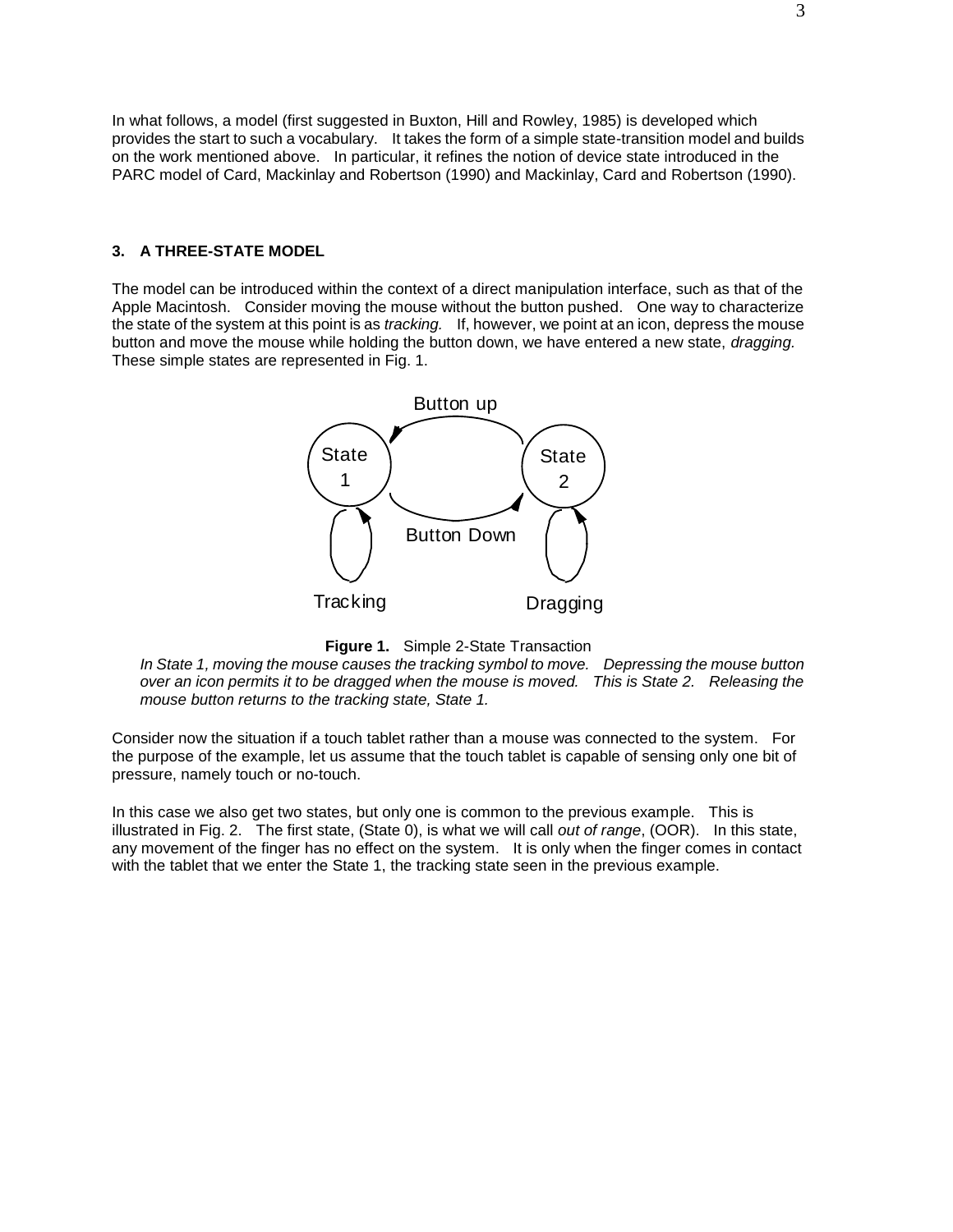In what follows, a model (first suggested in Buxton, Hill and Rowley, 1985) is developed which provides the start to such a vocabulary. It takes the form of a simple state-transition model and builds on the work mentioned above. In particular, it refines the notion of device state introduced in the PARC model of Card, Mackinlay and Robertson (1990) and Mackinlay, Card and Robertson (1990).

#### **3. A THREE-STATE MODEL**

The model can be introduced within the context of a direct manipulation interface, such as that of the Apple Macintosh. Consider moving the mouse without the button pushed. One way to characterize the state of the system at this point is as *tracking.* If, however, we point at an icon, depress the mouse button and move the mouse while holding the button down, we have entered a new state, *dragging.*  These simple states are represented in Fig. 1.





*In State 1, moving the mouse causes the tracking symbol to move. Depressing the mouse button over an icon permits it to be dragged when the mouse is moved. This is State 2. Releasing the mouse button returns to the tracking state, State 1.*

Consider now the situation if a touch tablet rather than a mouse was connected to the system. For the purpose of the example, let us assume that the touch tablet is capable of sensing only one bit of pressure, namely touch or no-touch.

In this case we also get two states, but only one is common to the previous example. This is illustrated in Fig. 2. The first state, (State 0), is what we will call *out of range*, (OOR). In this state, any movement of the finger has no effect on the system. It is only when the finger comes in contact with the tablet that we enter the State 1, the tracking state seen in the previous example.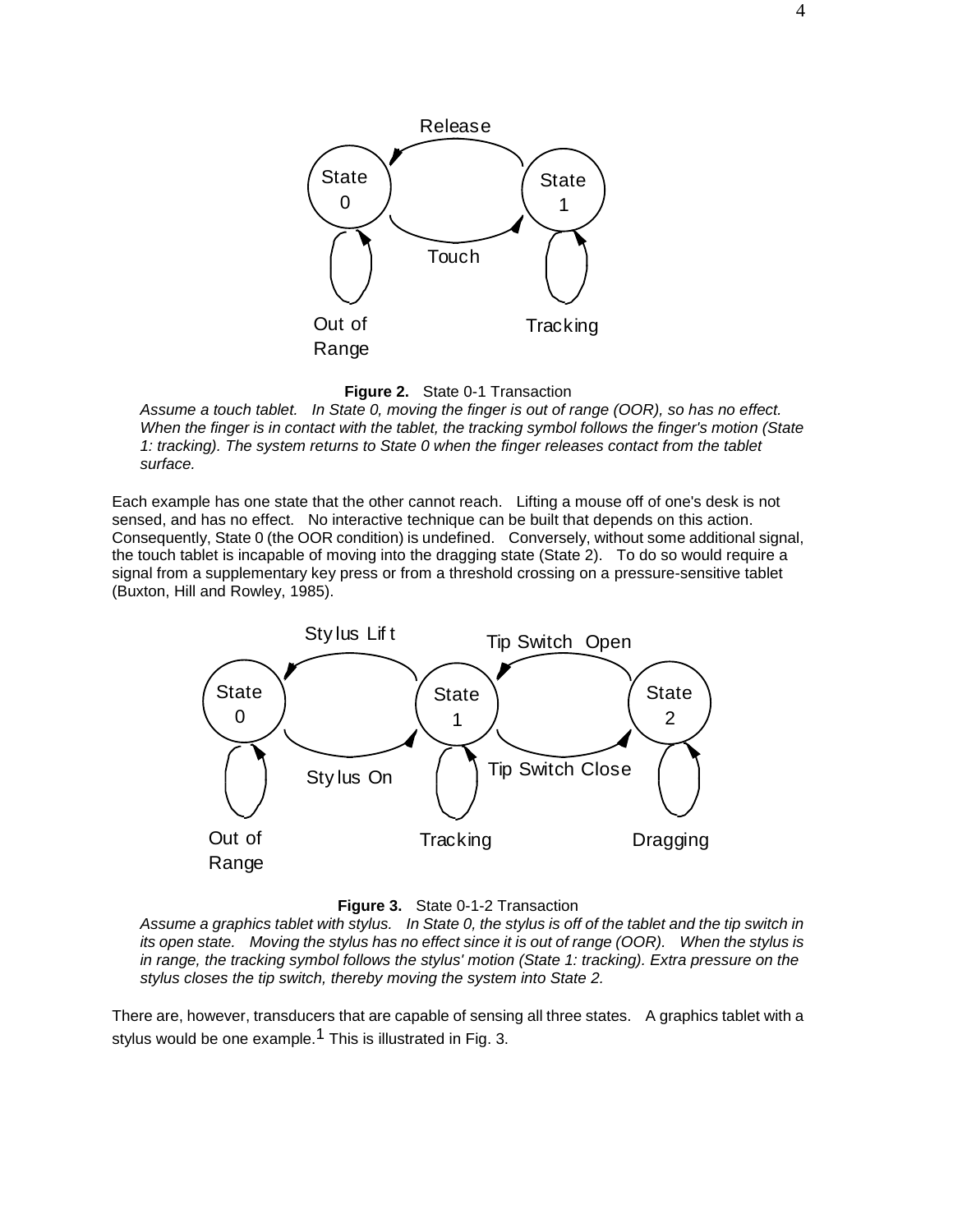



*Assume a touch tablet. In State 0, moving the finger is out of range (OOR), so has no effect. When the finger is in contact with the tablet, the tracking symbol follows the finger's motion (State 1: tracking). The system returns to State 0 when the finger releases contact from the tablet surface.*

Each example has one state that the other cannot reach. Lifting a mouse off of one's desk is not sensed, and has no effect. No interactive technique can be built that depends on this action. Consequently, State 0 (the OOR condition) is undefined. Conversely, without some additional signal, the touch tablet is incapable of moving into the dragging state (State 2). To do so would require a signal from a supplementary key press or from a threshold crossing on a pressure-sensitive tablet (Buxton, Hill and Rowley, 1985).





*Assume a graphics tablet with stylus. In State 0, the stylus is off of the tablet and the tip switch in its open state. Moving the stylus has no effect since it is out of range (OOR). When the stylus is in range, the tracking symbol follows the stylus' motion (State 1: tracking). Extra pressure on the stylus closes the tip switch, thereby moving the system into State 2.*

There are, however, transducers that are capable of sensing all three states. A graphics tablet with a stylus would be one example.<sup>1</sup> This is illustrated in Fig. 3.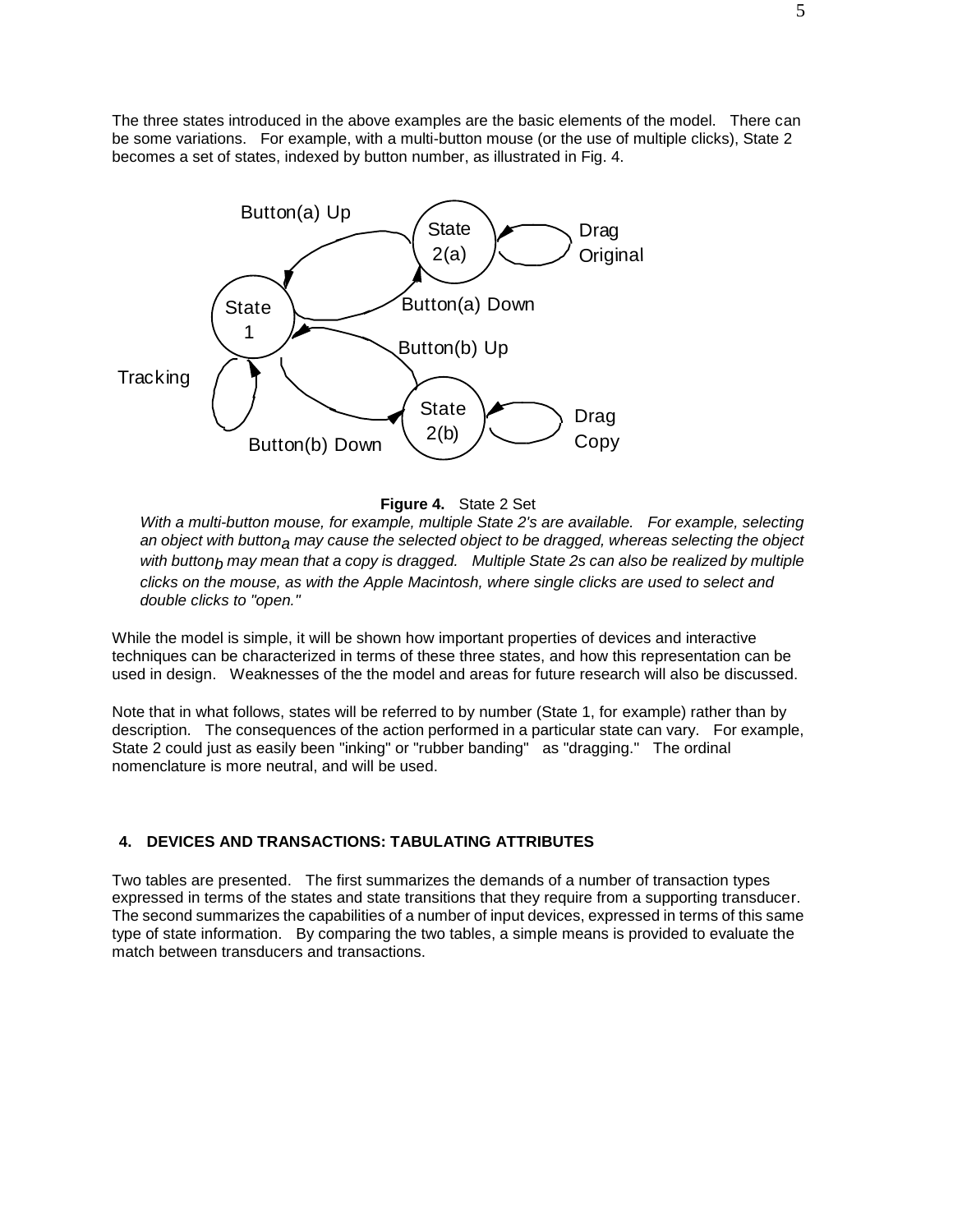The three states introduced in the above examples are the basic elements of the model. There can be some variations. For example, with a multi-button mouse (or the use of multiple clicks), State 2 becomes a set of states, indexed by button number, as illustrated in Fig. 4.



**Figure 4.** State 2 Set

*With a multi-button mouse, for example, multiple State 2's are available. For example, selecting an object with buttona may cause the selected object to be dragged, whereas selecting the object with buttonb may mean that a copy is dragged. Multiple State 2s can also be realized by multiple clicks on the mouse, as with the Apple Macintosh, where single clicks are used to select and double clicks to "open."*

While the model is simple, it will be shown how important properties of devices and interactive techniques can be characterized in terms of these three states, and how this representation can be used in design. Weaknesses of the the model and areas for future research will also be discussed.

Note that in what follows, states will be referred to by number (State 1, for example) rather than by description. The consequences of the action performed in a particular state can vary. For example, State 2 could just as easily been "inking" or "rubber banding" as "dragging." The ordinal nomenclature is more neutral, and will be used.

### **4. DEVICES AND TRANSACTIONS: TABULATING ATTRIBUTES**

Two tables are presented. The first summarizes the demands of a number of transaction types expressed in terms of the states and state transitions that they require from a supporting transducer. The second summarizes the capabilities of a number of input devices, expressed in terms of this same type of state information. By comparing the two tables, a simple means is provided to evaluate the match between transducers and transactions.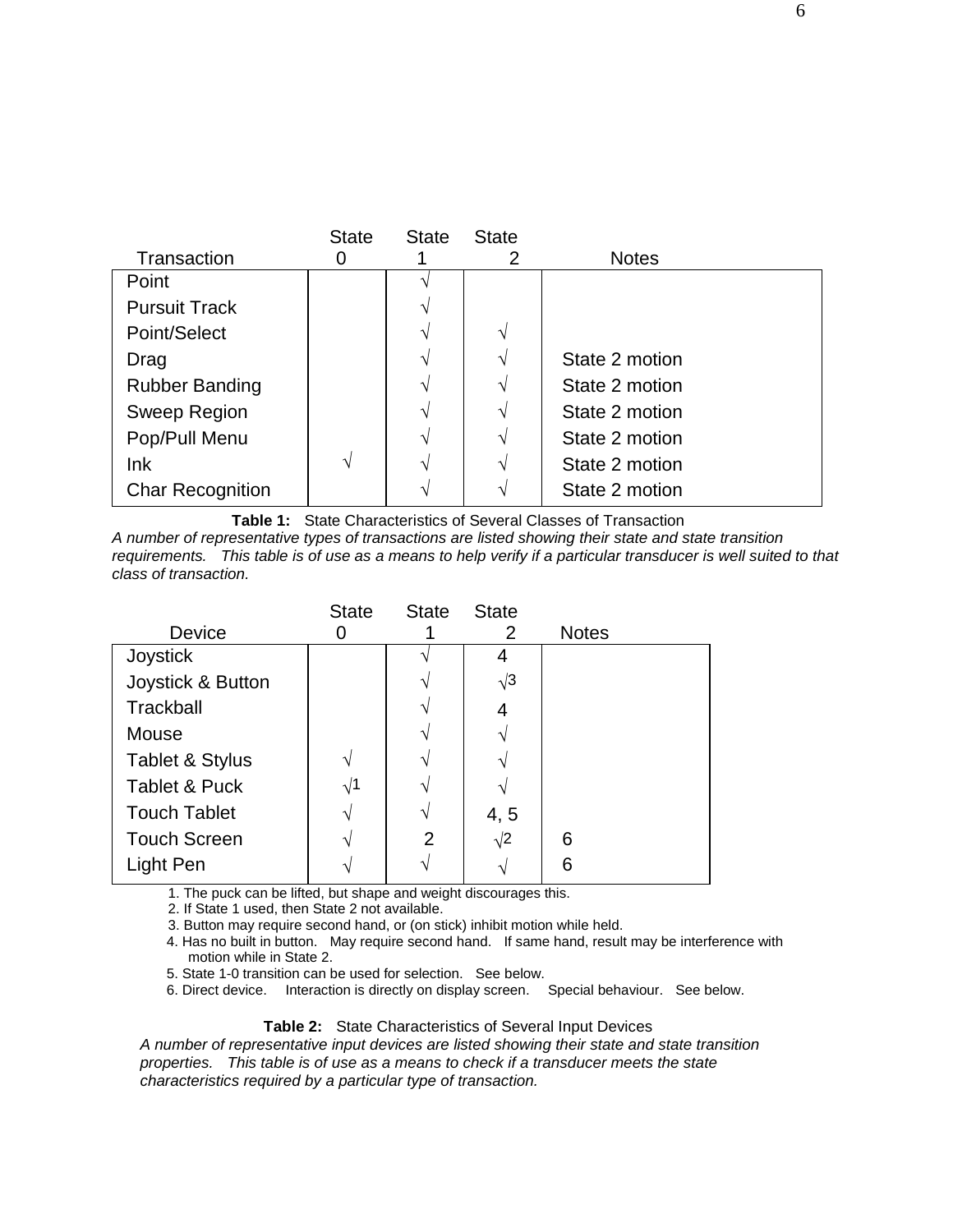|                         | <b>State</b>  | <b>State</b> | <b>State</b>  |                |
|-------------------------|---------------|--------------|---------------|----------------|
| Transaction             | Ő             |              | 2             | <b>Notes</b>   |
| Point                   |               |              |               |                |
| <b>Pursuit Track</b>    |               | V            |               |                |
| Point/Select            |               | N            | $\mathcal{N}$ |                |
| Drag                    |               | N            |               | State 2 motion |
| <b>Rubber Banding</b>   |               | N            |               | State 2 motion |
| Sweep Region            |               | N            |               | State 2 motion |
| Pop/Pull Menu           |               | N            | ٦             | State 2 motion |
| lnk                     | $\mathcal{N}$ | N            | ٦             | State 2 motion |
| <b>Char Recognition</b> |               | ᄾ            |               | State 2 motion |

**Table 1:** State Characteristics of Several Classes of Transaction

*A number of representative types of transactions are listed showing their state and state transition requirements. This table is of use as a means to help verify if a particular transducer is well suited to that class of transaction.*

|                          | <b>State</b> | <b>State</b> | <b>State</b> |              |
|--------------------------|--------------|--------------|--------------|--------------|
| Device                   |              |              | 2            | <b>Notes</b> |
| Joystick                 |              |              | 4            |              |
| Joystick & Button        |              |              | $\sqrt{3}$   |              |
| Trackball                |              |              | 4            |              |
| Mouse                    |              |              |              |              |
| Tablet & Stylus          |              |              |              |              |
| <b>Tablet &amp; Puck</b> | $\sqrt{1}$   |              |              |              |
| <b>Touch Tablet</b>      |              |              | 4, 5         |              |
| <b>Touch Screen</b>      |              | 2            | $\sqrt{2}$   | 6            |
| Light Pen                |              |              | ٦            | 6            |

1. The puck can be lifted, but shape and weight discourages this.

2. If State 1 used, then State 2 not available.

3. Button may require second hand, or (on stick) inhibit motion while held.

4. Has no built in button. May require second hand. If same hand, result may be interference with motion while in State 2.

5. State 1-0 transition can be used for selection. See below.

6. Direct device. Interaction is directly on display screen. Special behaviour. See below.

### **Table 2:** State Characteristics of Several Input Devices

*A number of representative input devices are listed showing their state and state transition properties. This table is of use as a means to check if a transducer meets the state characteristics required by a particular type of transaction.*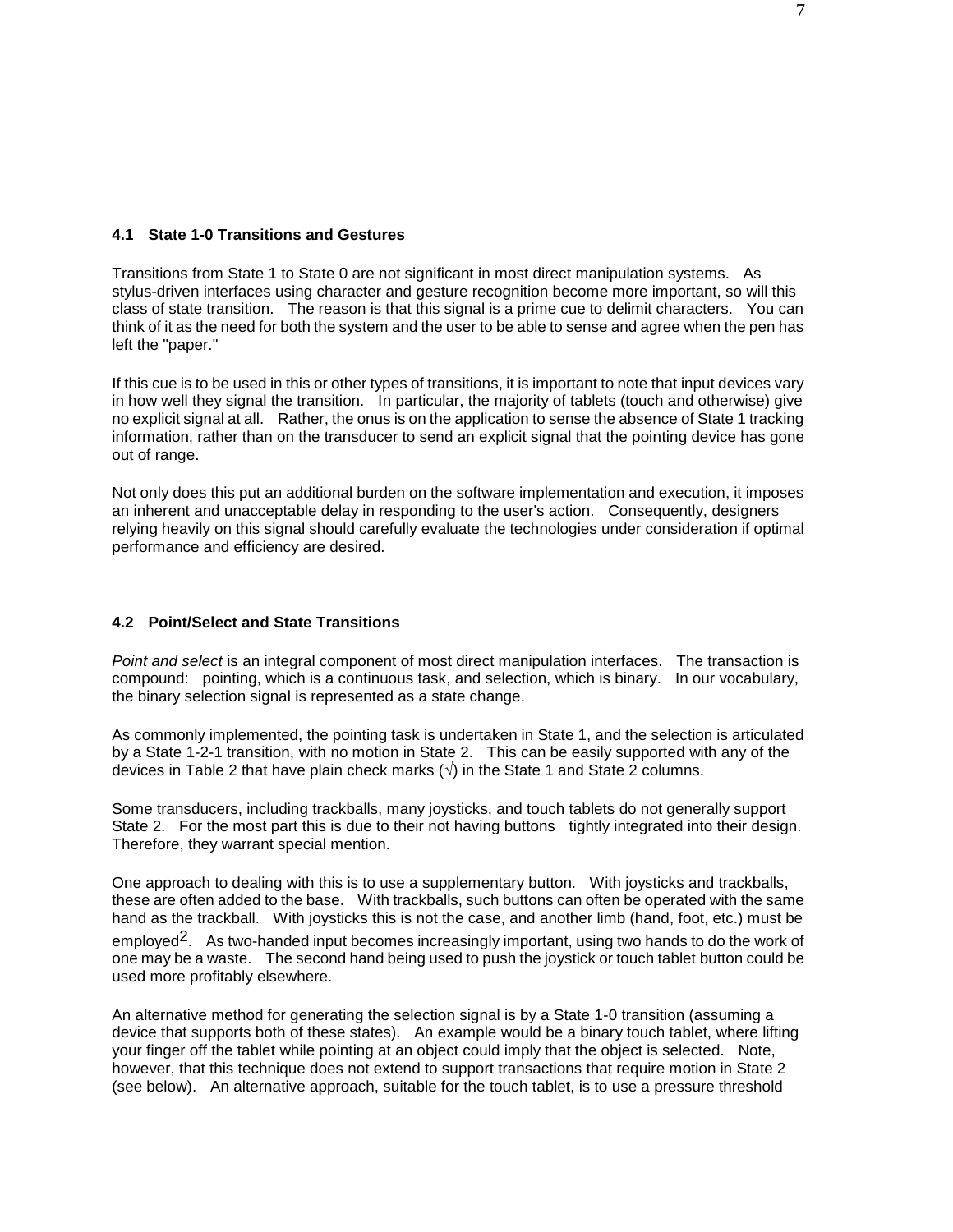### **4.1 State 1-0 Transitions and Gestures**

Transitions from State 1 to State 0 are not significant in most direct manipulation systems. As stylus-driven interfaces using character and gesture recognition become more important, so will this class of state transition. The reason is that this signal is a prime cue to delimit characters. You can think of it as the need for both the system and the user to be able to sense and agree when the pen has left the "paper."

If this cue is to be used in this or other types of transitions, it is important to note that input devices vary in how well they signal the transition. In particular, the majority of tablets (touch and otherwise) give no explicit signal at all. Rather, the onus is on the application to sense the absence of State 1 tracking information, rather than on the transducer to send an explicit signal that the pointing device has gone out of range.

Not only does this put an additional burden on the software implementation and execution, it imposes an inherent and unacceptable delay in responding to the user's action. Consequently, designers relying heavily on this signal should carefully evaluate the technologies under consideration if optimal performance and efficiency are desired.

### **4.2 Point/Select and State Transitions**

*Point and select* is an integral component of most direct manipulation interfaces. The transaction is compound: pointing, which is a continuous task, and selection, which is binary. In our vocabulary, the binary selection signal is represented as a state change.

As commonly implemented, the pointing task is undertaken in State 1, and the selection is articulated by a State 1-2-1 transition, with no motion in State 2. This can be easily supported with any of the devices in Table 2 that have plain check marks (**√**) in the State 1 and State 2 columns.

Some transducers, including trackballs, many joysticks, and touch tablets do not generally support State 2. For the most part this is due to their not having buttons tightly integrated into their design. Therefore, they warrant special mention.

One approach to dealing with this is to use a supplementary button. With joysticks and trackballs, these are often added to the base. With trackballs, such buttons can often be operated with the same hand as the trackball. With joysticks this is not the case, and another limb (hand, foot, etc.) must be employed<sup>2</sup>. As two-handed input becomes increasingly important, using two hands to do the work of one may be a waste. The second hand being used to push the joystick or touch tablet button could be used more profitably elsewhere.

An alternative method for generating the selection signal is by a State 1-0 transition (assuming a device that supports both of these states). An example would be a binary touch tablet, where lifting your finger off the tablet while pointing at an object could imply that the object is selected. Note, however, that this technique does not extend to support transactions that require motion in State 2 (see below). An alternative approach, suitable for the touch tablet, is to use a pressure threshold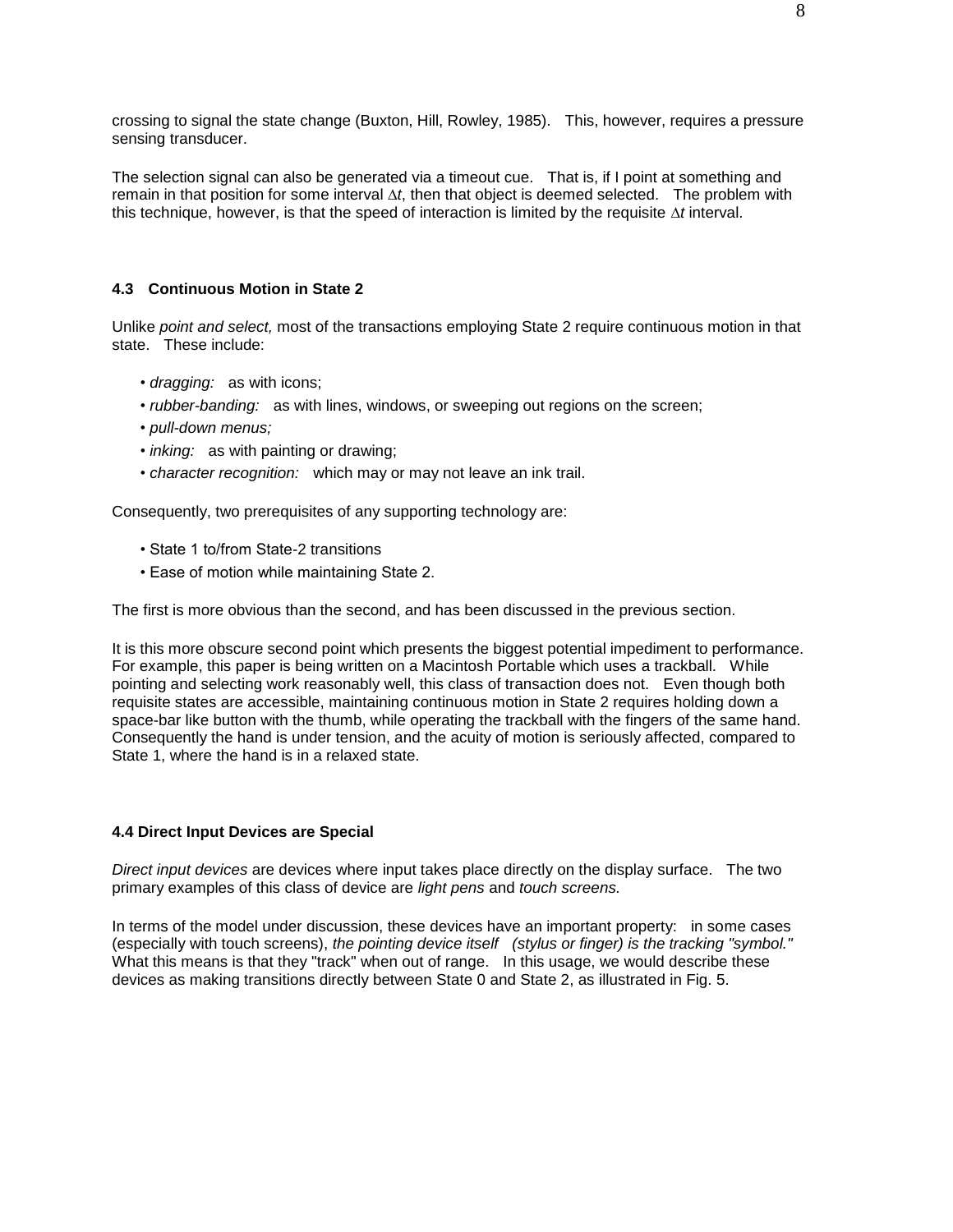crossing to signal the state change (Buxton, Hill, Rowley, 1985). This, however, requires a pressure sensing transducer.

The selection signal can also be generated via a timeout cue. That is, if I point at something and remain in that position for some interval *∆t*, then that object is deemed selected. The problem with this technique, however, is that the speed of interaction is limited by the requisite *∆t* interval.

### **4.3 Continuous Motion in State 2**

Unlike *point and select,* most of the transactions employing State 2 require continuous motion in that state. These include:

- *dragging:* as with icons;
- *rubber-banding:* as with lines, windows, or sweeping out regions on the screen;
- *pull-down menus;*
- *inking:* as with painting or drawing;
- *character recognition:* which may or may not leave an ink trail.

Consequently, two prerequisites of any supporting technology are:

- State 1 to/from State-2 transitions
- Ease of motion while maintaining State 2.

The first is more obvious than the second, and has been discussed in the previous section.

It is this more obscure second point which presents the biggest potential impediment to performance. For example, this paper is being written on a Macintosh Portable which uses a trackball. While pointing and selecting work reasonably well, this class of transaction does not. Even though both requisite states are accessible, maintaining continuous motion in State 2 requires holding down a space-bar like button with the thumb, while operating the trackball with the fingers of the same hand. Consequently the hand is under tension, and the acuity of motion is seriously affected, compared to State 1, where the hand is in a relaxed state.

#### **4.4 Direct Input Devices are Special**

*Direct input devices* are devices where input takes place directly on the display surface. The two primary examples of this class of device are *light pens* and *touch screens.*

In terms of the model under discussion, these devices have an important property: in some cases (especially with touch screens), *the pointing device itself (stylus or finger) is the tracking "symbol."*  What this means is that they "track" when out of range. In this usage, we would describe these devices as making transitions directly between State 0 and State 2, as illustrated in Fig. 5.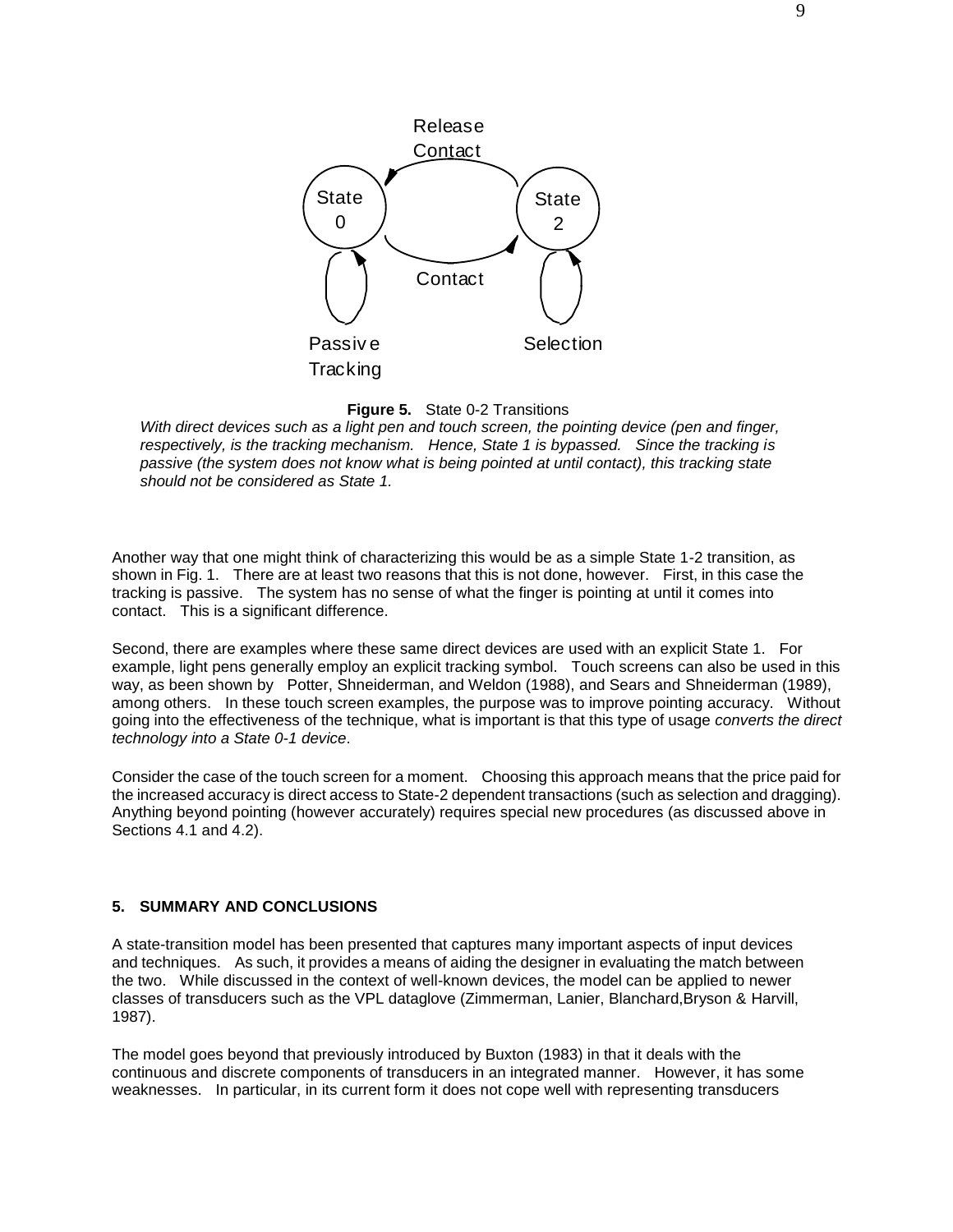

**Figure 5.** State 0-2 Transitions

*With direct devices such as a light pen and touch screen, the pointing device (pen and finger, respectively, is the tracking mechanism. Hence, State 1 is bypassed. Since the tracking is passive (the system does not know what is being pointed at until contact), this tracking state should not be considered as State 1.*

Another way that one might think of characterizing this would be as a simple State 1-2 transition, as shown in Fig. 1. There are at least two reasons that this is not done, however. First, in this case the tracking is passive. The system has no sense of what the finger is pointing at until it comes into contact. This is a significant difference.

Second, there are examples where these same direct devices are used with an explicit State 1. For example, light pens generally employ an explicit tracking symbol. Touch screens can also be used in this way, as been shown by Potter, Shneiderman, and Weldon (1988), and Sears and Shneiderman (1989), among others. In these touch screen examples, the purpose was to improve pointing accuracy. Without going into the effectiveness of the technique, what is important is that this type of usage *converts the direct technology into a State 0-1 device*.

Consider the case of the touch screen for a moment. Choosing this approach means that the price paid for the increased accuracy is direct access to State-2 dependent transactions (such as selection and dragging). Anything beyond pointing (however accurately) requires special new procedures (as discussed above in Sections 4.1 and 4.2).

# **5. SUMMARY AND CONCLUSIONS**

A state-transition model has been presented that captures many important aspects of input devices and techniques. As such, it provides a means of aiding the designer in evaluating the match between the two. While discussed in the context of well-known devices, the model can be applied to newer classes of transducers such as the VPL dataglove (Zimmerman, Lanier, Blanchard,Bryson & Harvill, 1987).

The model goes beyond that previously introduced by Buxton (1983) in that it deals with the continuous and discrete components of transducers in an integrated manner. However, it has some weaknesses. In particular, in its current form it does not cope well with representing transducers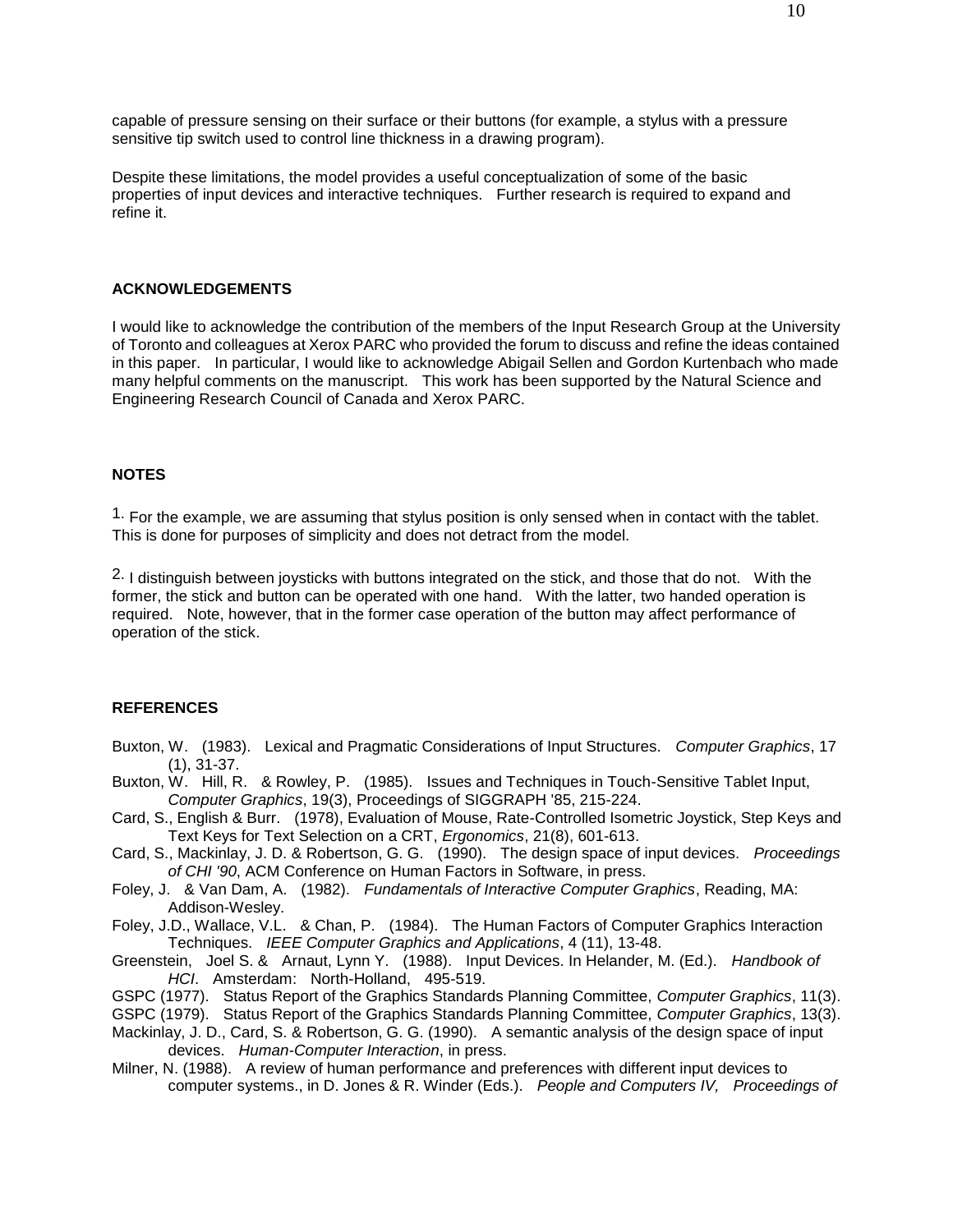capable of pressure sensing on their surface or their buttons (for example, a stylus with a pressure sensitive tip switch used to control line thickness in a drawing program).

Despite these limitations, the model provides a useful conceptualization of some of the basic properties of input devices and interactive techniques. Further research is required to expand and refine it.

#### **ACKNOWLEDGEMENTS**

I would like to acknowledge the contribution of the members of the Input Research Group at the University of Toronto and colleagues at Xerox PARC who provided the forum to discuss and refine the ideas contained in this paper. In particular, I would like to acknowledge Abigail Sellen and Gordon Kurtenbach who made many helpful comments on the manuscript. This work has been supported by the Natural Science and Engineering Research Council of Canada and Xerox PARC.

#### **NOTES**

 $<sup>1</sup>$ . For the example, we are assuming that stylus position is only sensed when in contact with the tablet.</sup> This is done for purposes of simplicity and does not detract from the model.

<sup>2.</sup> I distinguish between joysticks with buttons integrated on the stick, and those that do not. With the former, the stick and button can be operated with one hand. With the latter, two handed operation is required. Note, however, that in the former case operation of the button may affect performance of operation of the stick.

#### **REFERENCES**

- Buxton, W. (1983). Lexical and Pragmatic Considerations of Input Structures. *Computer Graphics*, 17 (1), 31-37.
- Buxton, W. Hill, R. & Rowley, P. (1985). Issues and Techniques in Touch-Sensitive Tablet Input, *Computer Graphics*, 19(3), Proceedings of SIGGRAPH '85, 215-224.
- Card, S., English & Burr. (1978), Evaluation of Mouse, Rate-Controlled Isometric Joystick, Step Keys and Text Keys for Text Selection on a CRT, *Ergonomics*, 21(8), 601-613.
- Card, S., Mackinlay, J. D. & Robertson, G. G. (1990). The design space of input devices. *Proceedings of CHI '90*, ACM Conference on Human Factors in Software, in press.
- Foley, J. & Van Dam, A. (1982). *Fundamentals of Interactive Computer Graphics*, Reading, MA: Addison-Wesley.
- Foley, J.D., Wallace, V.L. & Chan, P. (1984). The Human Factors of Computer Graphics Interaction Techniques. *IEEE Computer Graphics and Applications*, 4 (11), 13-48.
- Greenstein, Joel S. & Arnaut, Lynn Y. (1988). Input Devices. In Helander, M. (Ed.). *Handbook of HCI*. Amsterdam: North-Holland, 495-519.
- GSPC (1977). Status Report of the Graphics Standards Planning Committee, *Computer Graphics*, 11(3).
- GSPC (1979). Status Report of the Graphics Standards Planning Committee, *Computer Graphics*, 13(3).
- Mackinlay, J. D., Card, S. & Robertson, G. G. (1990). A semantic analysis of the design space of input devices. *Human-Computer Interaction*, in press.
- Milner, N. (1988). A review of human performance and preferences with different input devices to computer systems., in D. Jones & R. Winder (Eds.). *People and Computers IV, Proceedings of*